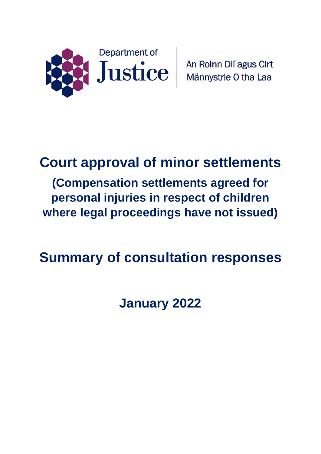

# **Court approval of minor settlements**

**(Compensation settlements agreed for personal injuries in respect of children where legal proceedings have not issued)**

# **Summary of consultation responses**

**January 2022**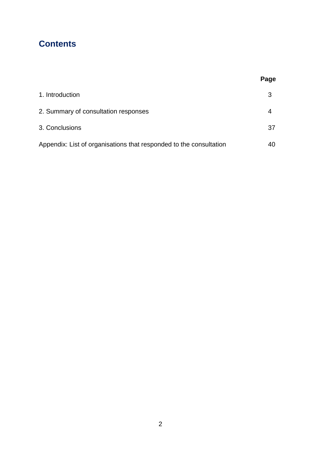## **Contents**

|                                                                    | Page |
|--------------------------------------------------------------------|------|
| 1. Introduction                                                    | 3    |
| 2. Summary of consultation responses                               | 4    |
| 3. Conclusions                                                     | 37   |
| Appendix: List of organisations that responded to the consultation | 40   |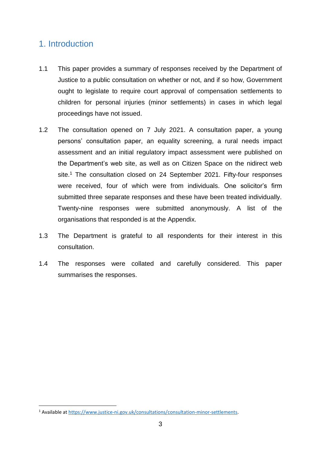## 1. Introduction

**.** 

- 1.1 This paper provides a summary of responses received by the Department of Justice to a public consultation on whether or not, and if so how, Government ought to legislate to require court approval of compensation settlements to children for personal injuries (minor settlements) in cases in which legal proceedings have not issued.
- 1.2 The consultation opened on 7 July 2021. A consultation paper, a young persons' consultation paper, an equality screening, a rural needs impact assessment and an initial regulatory impact assessment were published on the Department's web site, as well as on Citizen Space on the nidirect web site.<sup>1</sup> The consultation closed on 24 September 2021. Fifty-four responses were received, four of which were from individuals. One solicitor's firm submitted three separate responses and these have been treated individually. Twenty-nine responses were submitted anonymously. A list of the organisations that responded is at the Appendix.
- 1.3 The Department is grateful to all respondents for their interest in this consultation.
- 1.4 The responses were collated and carefully considered. This paper summarises the responses.

<sup>&</sup>lt;sup>1</sup> Available at [https://www.justice-ni.gov.uk/consultations/consultation-minor-settlements.](https://www.justice-ni.gov.uk/consultations/consultation-minor-settlements)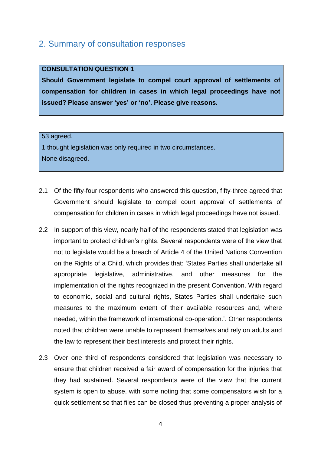## 2. Summary of consultation responses

#### **CONSULTATION QUESTION 1**

**Should Government legislate to compel court approval of settlements of compensation for children in cases in which legal proceedings have not issued? Please answer 'yes' or 'no'. Please give reasons.**

#### 53 agreed.

1 thought legislation was only required in two circumstances. None disagreed.

- 2.1 Of the fifty-four respondents who answered this question, fifty-three agreed that Government should legislate to compel court approval of settlements of compensation for children in cases in which legal proceedings have not issued.
- 2.2 In support of this view, nearly half of the respondents stated that legislation was important to protect children's rights. Several respondents were of the view that not to legislate would be a breach of Article 4 of the United Nations Convention on the Rights of a Child, which provides that: 'States Parties shall undertake all appropriate legislative, administrative, and other measures for the implementation of the rights recognized in the present Convention. With regard to economic, social and cultural rights, States Parties shall undertake such measures to the maximum extent of their available resources and, where needed, within the framework of international co-operation.'. Other respondents noted that children were unable to represent themselves and rely on adults and the law to represent their best interests and protect their rights.
- 2.3 Over one third of respondents considered that legislation was necessary to ensure that children received a fair award of compensation for the injuries that they had sustained. Several respondents were of the view that the current system is open to abuse, with some noting that some compensators wish for a quick settlement so that files can be closed thus preventing a proper analysis of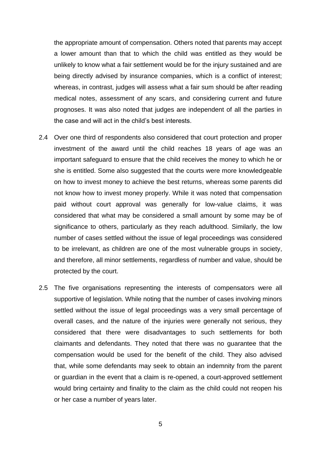the appropriate amount of compensation. Others noted that parents may accept a lower amount than that to which the child was entitled as they would be unlikely to know what a fair settlement would be for the injury sustained and are being directly advised by insurance companies, which is a conflict of interest; whereas, in contrast, judges will assess what a fair sum should be after reading medical notes, assessment of any scars, and considering current and future prognoses. It was also noted that judges are independent of all the parties in the case and will act in the child's best interests.

- 2.4 Over one third of respondents also considered that court protection and proper investment of the award until the child reaches 18 years of age was an important safeguard to ensure that the child receives the money to which he or she is entitled. Some also suggested that the courts were more knowledgeable on how to invest money to achieve the best returns, whereas some parents did not know how to invest money properly. While it was noted that compensation paid without court approval was generally for low-value claims, it was considered that what may be considered a small amount by some may be of significance to others, particularly as they reach adulthood. Similarly, the low number of cases settled without the issue of legal proceedings was considered to be irrelevant, as children are one of the most vulnerable groups in society, and therefore, all minor settlements, regardless of number and value, should be protected by the court.
- 2.5 The five organisations representing the interests of compensators were all supportive of legislation. While noting that the number of cases involving minors settled without the issue of legal proceedings was a very small percentage of overall cases, and the nature of the injuries were generally not serious, they considered that there were disadvantages to such settlements for both claimants and defendants. They noted that there was no guarantee that the compensation would be used for the benefit of the child. They also advised that, while some defendants may seek to obtain an indemnity from the parent or guardian in the event that a claim is re-opened, a court-approved settlement would bring certainty and finality to the claim as the child could not reopen his or her case a number of years later.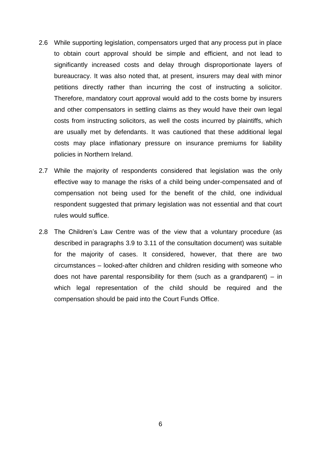- 2.6 While supporting legislation, compensators urged that any process put in place to obtain court approval should be simple and efficient, and not lead to significantly increased costs and delay through disproportionate layers of bureaucracy. It was also noted that, at present, insurers may deal with minor petitions directly rather than incurring the cost of instructing a solicitor. Therefore, mandatory court approval would add to the costs borne by insurers and other compensators in settling claims as they would have their own legal costs from instructing solicitors, as well the costs incurred by plaintiffs, which are usually met by defendants. It was cautioned that these additional legal costs may place inflationary pressure on insurance premiums for liability policies in Northern Ireland.
- 2.7 While the majority of respondents considered that legislation was the only effective way to manage the risks of a child being under-compensated and of compensation not being used for the benefit of the child, one individual respondent suggested that primary legislation was not essential and that court rules would suffice.
- 2.8 The Children's Law Centre was of the view that a voluntary procedure (as described in paragraphs 3.9 to 3.11 of the consultation document) was suitable for the majority of cases. It considered, however, that there are two circumstances – looked-after children and children residing with someone who does not have parental responsibility for them (such as a grandparent) – in which legal representation of the child should be required and the compensation should be paid into the Court Funds Office.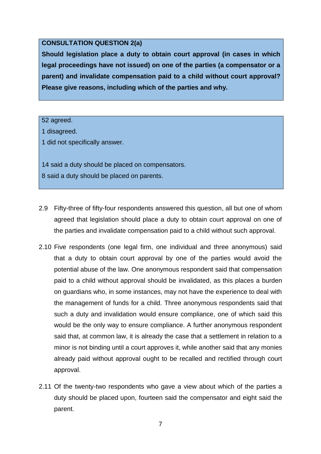#### **CONSULTATION QUESTION 2(a)**

**Should legislation place a duty to obtain court approval (in cases in which legal proceedings have not issued) on one of the parties (a compensator or a parent) and invalidate compensation paid to a child without court approval? Please give reasons, including which of the parties and why.**

52 agreed.

1 disagreed.

1 did not specifically answer.

14 said a duty should be placed on compensators. 8 said a duty should be placed on parents.

- 2.9 Fifty-three of fifty-four respondents answered this question, all but one of whom agreed that legislation should place a duty to obtain court approval on one of the parties and invalidate compensation paid to a child without such approval.
- 2.10 Five respondents (one legal firm, one individual and three anonymous) said that a duty to obtain court approval by one of the parties would avoid the potential abuse of the law. One anonymous respondent said that compensation paid to a child without approval should be invalidated, as this places a burden on guardians who, in some instances, may not have the experience to deal with the management of funds for a child. Three anonymous respondents said that such a duty and invalidation would ensure compliance, one of which said this would be the only way to ensure compliance. A further anonymous respondent said that, at common law, it is already the case that a settlement in relation to a minor is not binding until a court approves it, while another said that any monies already paid without approval ought to be recalled and rectified through court approval.
- 2.11 Of the twenty-two respondents who gave a view about which of the parties a duty should be placed upon, fourteen said the compensator and eight said the parent.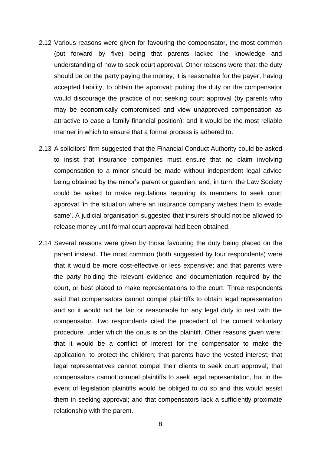- 2.12 Various reasons were given for favouring the compensator, the most common (put forward by five) being that parents lacked the knowledge and understanding of how to seek court approval. Other reasons were that: the duty should be on the party paying the money; it is reasonable for the payer, having accepted liability, to obtain the approval; putting the duty on the compensator would discourage the practice of not seeking court approval (by parents who may be economically compromised and view unapproved compensation as attractive to ease a family financial position); and it would be the most reliable manner in which to ensure that a formal process is adhered to.
- 2.13 A solicitors' firm suggested that the Financial Conduct Authority could be asked to insist that insurance companies must ensure that no claim involving compensation to a minor should be made without independent legal advice being obtained by the minor's parent or guardian; and, in turn, the Law Society could be asked to make regulations requiring its members to seek court approval 'in the situation where an insurance company wishes them to evade same'. A judicial organisation suggested that insurers should not be allowed to release money until formal court approval had been obtained.
- 2.14 Several reasons were given by those favouring the duty being placed on the parent instead. The most common (both suggested by four respondents) were that it would be more cost-effective or less expensive; and that parents were the party holding the relevant evidence and documentation required by the court, or best placed to make representations to the court. Three respondents said that compensators cannot compel plaintiffs to obtain legal representation and so it would not be fair or reasonable for any legal duty to rest with the compensator. Two respondents cited the precedent of the current voluntary procedure, under which the onus is on the plaintiff. Other reasons given were: that it would be a conflict of interest for the compensator to make the application; to protect the children; that parents have the vested interest; that legal representatives cannot compel their clients to seek court approval; that compensators cannot compel plaintiffs to seek legal representation, but in the event of legislation plaintiffs would be obliged to do so and this would assist them in seeking approval; and that compensators lack a sufficiently proximate relationship with the parent.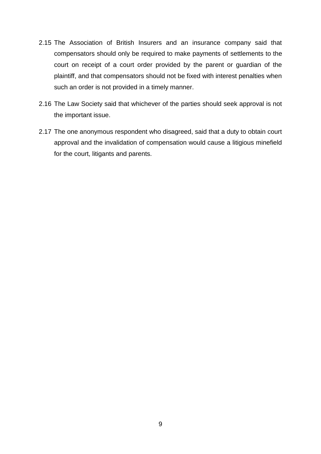- 2.15 The Association of British Insurers and an insurance company said that compensators should only be required to make payments of settlements to the court on receipt of a court order provided by the parent or guardian of the plaintiff, and that compensators should not be fixed with interest penalties when such an order is not provided in a timely manner.
- 2.16 The Law Society said that whichever of the parties should seek approval is not the important issue.
- 2.17 The one anonymous respondent who disagreed, said that a duty to obtain court approval and the invalidation of compensation would cause a litigious minefield for the court, litigants and parents.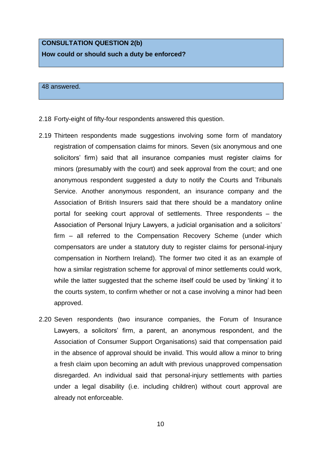## **CONSULTATION QUESTION 2(b) How could or should such a duty be enforced?**

48 answered.

- 2.18 Forty-eight of fifty-four respondents answered this question.
- 2.19 Thirteen respondents made suggestions involving some form of mandatory registration of compensation claims for minors. Seven (six anonymous and one solicitors' firm) said that all insurance companies must register claims for minors (presumably with the court) and seek approval from the court; and one anonymous respondent suggested a duty to notify the Courts and Tribunals Service. Another anonymous respondent, an insurance company and the Association of British Insurers said that there should be a mandatory online portal for seeking court approval of settlements. Three respondents – the Association of Personal Injury Lawyers, a judicial organisation and a solicitors' firm – all referred to the Compensation Recovery Scheme (under which compensators are under a statutory duty to register claims for personal-injury compensation in Northern Ireland). The former two cited it as an example of how a similar registration scheme for approval of minor settlements could work, while the latter suggested that the scheme itself could be used by 'linking' it to the courts system, to confirm whether or not a case involving a minor had been approved.
- 2.20 Seven respondents (two insurance companies, the Forum of Insurance Lawyers, a solicitors' firm, a parent, an anonymous respondent, and the Association of Consumer Support Organisations) said that compensation paid in the absence of approval should be invalid. This would allow a minor to bring a fresh claim upon becoming an adult with previous unapproved compensation disregarded. An individual said that personal-injury settlements with parties under a legal disability (i.e. including children) without court approval are already not enforceable.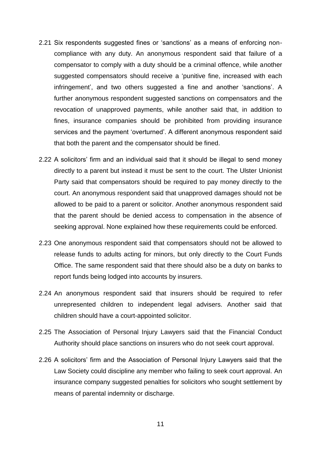- 2.21 Six respondents suggested fines or 'sanctions' as a means of enforcing noncompliance with any duty. An anonymous respondent said that failure of a compensator to comply with a duty should be a criminal offence, while another suggested compensators should receive a 'punitive fine, increased with each infringement', and two others suggested a fine and another 'sanctions'. A further anonymous respondent suggested sanctions on compensators and the revocation of unapproved payments, while another said that, in addition to fines, insurance companies should be prohibited from providing insurance services and the payment 'overturned'. A different anonymous respondent said that both the parent and the compensator should be fined.
- 2.22 A solicitors' firm and an individual said that it should be illegal to send money directly to a parent but instead it must be sent to the court. The Ulster Unionist Party said that compensators should be required to pay money directly to the court. An anonymous respondent said that unapproved damages should not be allowed to be paid to a parent or solicitor. Another anonymous respondent said that the parent should be denied access to compensation in the absence of seeking approval. None explained how these requirements could be enforced.
- 2.23 One anonymous respondent said that compensators should not be allowed to release funds to adults acting for minors, but only directly to the Court Funds Office. The same respondent said that there should also be a duty on banks to report funds being lodged into accounts by insurers.
- 2.24 An anonymous respondent said that insurers should be required to refer unrepresented children to independent legal advisers. Another said that children should have a court-appointed solicitor.
- 2.25 The Association of Personal Injury Lawyers said that the Financial Conduct Authority should place sanctions on insurers who do not seek court approval.
- 2.26 A solicitors' firm and the Association of Personal Injury Lawyers said that the Law Society could discipline any member who failing to seek court approval. An insurance company suggested penalties for solicitors who sought settlement by means of parental indemnity or discharge.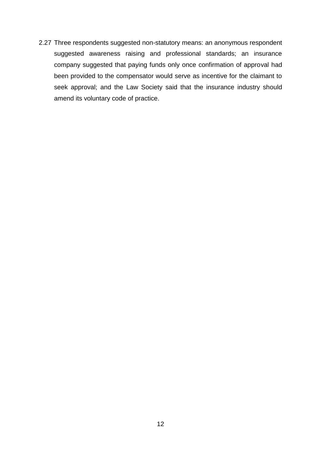2.27 Three respondents suggested non-statutory means: an anonymous respondent suggested awareness raising and professional standards; an insurance company suggested that paying funds only once confirmation of approval had been provided to the compensator would serve as incentive for the claimant to seek approval; and the Law Society said that the insurance industry should amend its voluntary code of practice.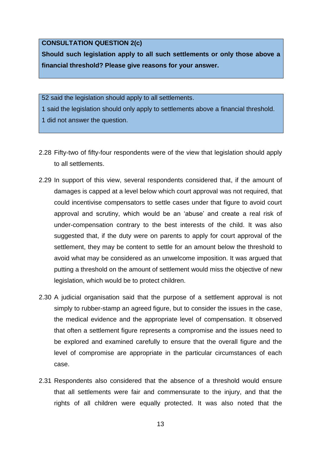#### **CONSULTATION QUESTION 2(c)**

**Should such legislation apply to all such settlements or only those above a financial threshold? Please give reasons for your answer.**

52 said the legislation should apply to all settlements.

- 1 said the legislation should only apply to settlements above a financial threshold. 1 did not answer the question.
- 2.28 Fifty-two of fifty-four respondents were of the view that legislation should apply to all settlements.
- 2.29 In support of this view, several respondents considered that, if the amount of damages is capped at a level below which court approval was not required, that could incentivise compensators to settle cases under that figure to avoid court approval and scrutiny, which would be an 'abuse' and create a real risk of under-compensation contrary to the best interests of the child. It was also suggested that, if the duty were on parents to apply for court approval of the settlement, they may be content to settle for an amount below the threshold to avoid what may be considered as an unwelcome imposition. It was argued that putting a threshold on the amount of settlement would miss the objective of new legislation, which would be to protect children.
- 2.30 A judicial organisation said that the purpose of a settlement approval is not simply to rubber-stamp an agreed figure, but to consider the issues in the case, the medical evidence and the appropriate level of compensation. It observed that often a settlement figure represents a compromise and the issues need to be explored and examined carefully to ensure that the overall figure and the level of compromise are appropriate in the particular circumstances of each case.
- 2.31 Respondents also considered that the absence of a threshold would ensure that all settlements were fair and commensurate to the injury, and that the rights of all children were equally protected. It was also noted that the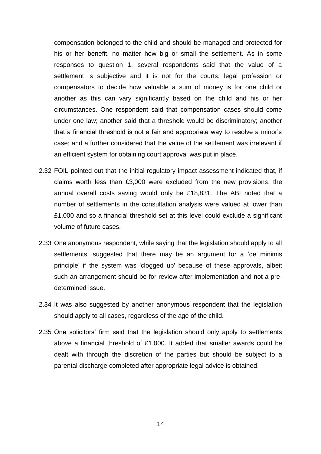compensation belonged to the child and should be managed and protected for his or her benefit, no matter how big or small the settlement. As in some responses to question 1, several respondents said that the value of a settlement is subjective and it is not for the courts, legal profession or compensators to decide how valuable a sum of money is for one child or another as this can vary significantly based on the child and his or her circumstances. One respondent said that compensation cases should come under one law; another said that a threshold would be discriminatory; another that a financial threshold is not a fair and appropriate way to resolve a minor's case; and a further considered that the value of the settlement was irrelevant if an efficient system for obtaining court approval was put in place.

- 2.32 FOIL pointed out that the initial regulatory impact assessment indicated that, if claims worth less than £3,000 were excluded from the new provisions, the annual overall costs saving would only be £18,831. The ABI noted that a number of settlements in the consultation analysis were valued at lower than £1,000 and so a financial threshold set at this level could exclude a significant volume of future cases.
- 2.33 One anonymous respondent, while saying that the legislation should apply to all settlements, suggested that there may be an argument for a 'de minimis principle' if the system was 'clogged up' because of these approvals, albeit such an arrangement should be for review after implementation and not a predetermined issue.
- 2.34 It was also suggested by another anonymous respondent that the legislation should apply to all cases, regardless of the age of the child.
- 2.35 One solicitors' firm said that the legislation should only apply to settlements above a financial threshold of £1,000. It added that smaller awards could be dealt with through the discretion of the parties but should be subject to a parental discharge completed after appropriate legal advice is obtained.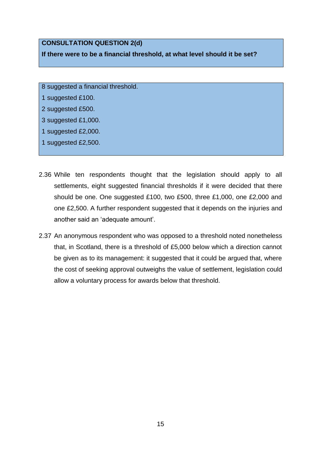#### **CONSULTATION QUESTION 2(d)**

**If there were to be a financial threshold, at what level should it be set?**

8 suggested a financial threshold.

1 suggested £100.

2 suggested £500.

3 suggested £1,000.

1 suggested £2,000.

1 suggested £2,500.

- 2.36 While ten respondents thought that the legislation should apply to all settlements, eight suggested financial thresholds if it were decided that there should be one. One suggested £100, two £500, three £1,000, one £2,000 and one £2,500. A further respondent suggested that it depends on the injuries and another said an 'adequate amount'.
- 2.37 An anonymous respondent who was opposed to a threshold noted nonetheless that, in Scotland, there is a threshold of £5,000 below which a direction cannot be given as to its management: it suggested that it could be argued that, where the cost of seeking approval outweighs the value of settlement, legislation could allow a voluntary process for awards below that threshold.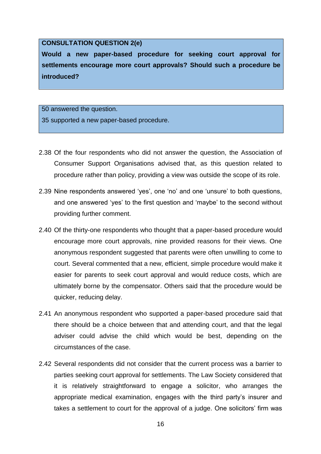#### **CONSULTATION QUESTION 2(e)**

**Would a new paper-based procedure for seeking court approval for settlements encourage more court approvals? Should such a procedure be introduced?**

50 answered the question.

35 supported a new paper-based procedure.

- 2.38 Of the four respondents who did not answer the question, the Association of Consumer Support Organisations advised that, as this question related to procedure rather than policy, providing a view was outside the scope of its role.
- 2.39 Nine respondents answered 'yes', one 'no' and one 'unsure' to both questions, and one answered 'yes' to the first question and 'maybe' to the second without providing further comment.
- 2.40 Of the thirty-one respondents who thought that a paper-based procedure would encourage more court approvals, nine provided reasons for their views. One anonymous respondent suggested that parents were often unwilling to come to court. Several commented that a new, efficient, simple procedure would make it easier for parents to seek court approval and would reduce costs, which are ultimately borne by the compensator. Others said that the procedure would be quicker, reducing delay.
- 2.41 An anonymous respondent who supported a paper-based procedure said that there should be a choice between that and attending court, and that the legal adviser could advise the child which would be best, depending on the circumstances of the case.
- 2.42 Several respondents did not consider that the current process was a barrier to parties seeking court approval for settlements. The Law Society considered that it is relatively straightforward to engage a solicitor, who arranges the appropriate medical examination, engages with the third party's insurer and takes a settlement to court for the approval of a judge. One solicitors' firm was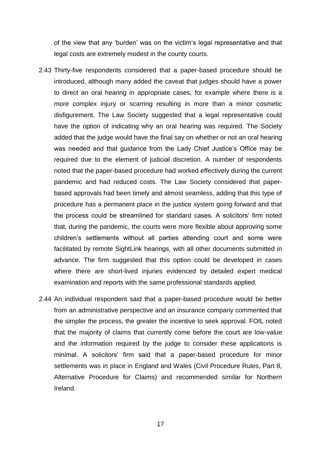of the view that any 'burden' was on the victim's legal representative and that legal costs are extremely modest in the county courts.

- 2.43 Thirty-five respondents considered that a paper-based procedure should be introduced, although many added the caveat that judges should have a power to direct an oral hearing in appropriate cases, for example where there is a more complex injury or scarring resulting in more than a minor cosmetic disfigurement. The Law Society suggested that a legal representative could have the option of indicating why an oral hearing was required. The Society added that the judge would have the final say on whether or not an oral hearing was needed and that guidance from the Lady Chief Justice's Office may be required due to the element of judicial discretion. A number of respondents noted that the paper-based procedure had worked effectively during the current pandemic and had reduced costs. The Law Society considered that paperbased approvals had been timely and almost seamless, adding that this type of procedure has a permanent place in the justice system going forward and that the process could be streamlined for standard cases. A solicitors' firm noted that, during the pandemic, the courts were more flexible about approving some children's settlements without all parties attending court and some were facilitated by remote SightLink hearings, with all other documents submitted in advance. The firm suggested that this option could be developed in cases where there are short-lived injuries evidenced by detailed expert medical examination and reports with the same professional standards applied.
- 2.44 An individual respondent said that a paper-based procedure would be better from an administrative perspective and an insurance company commented that the simpler the process, the greater the incentive to seek approval. FOIL noted that the majority of claims that currently come before the court are low-value and the information required by the judge to consider these applications is minimal. A solicitors' firm said that a paper-based procedure for minor settlements was in place in England and Wales (Civil Procedure Rules, Part 8, Alternative Procedure for Claims) and recommended similar for Northern Ireland.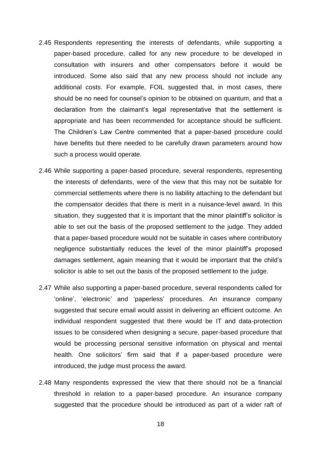- 2.45 Respondents representing the interests of defendants, while supporting a paper-based procedure, called for any new procedure to be developed in consultation with insurers and other compensators before it would be introduced. Some also said that any new process should not include any additional costs. For example, FOIL suggested that, in most cases, there should be no need for counsel's opinion to be obtained on quantum, and that a declaration from the claimant's legal representative that the settlement is appropriate and has been recommended for acceptance should be sufficient. The Children's Law Centre commented that a paper-based procedure could have benefits but there needed to be carefully drawn parameters around how such a process would operate.
- 2.46 While supporting a paper-based procedure, several respondents, representing the interests of defendants, were of the view that this may not be suitable for commercial settlements where there is no liability attaching to the defendant but the compensator decides that there is merit in a nuisance-level award. In this situation, they suggested that it is important that the minor plaintiff's solicitor is able to set out the basis of the proposed settlement to the judge. They added that a paper-based procedure would not be suitable in cases where contributory negligence substantially reduces the level of the minor plaintiff's proposed damages settlement, again meaning that it would be important that the child's solicitor is able to set out the basis of the proposed settlement to the judge.
- 2.47 While also supporting a paper-based procedure, several respondents called for 'online', 'electronic' and 'paperless' procedures. An insurance company suggested that secure email would assist in delivering an efficient outcome. An individual respondent suggested that there would be IT and data-protection issues to be considered when designing a secure, paper-based procedure that would be processing personal sensitive information on physical and mental health. One solicitors' firm said that if a paper-based procedure were introduced, the judge must process the award.
- 2.48 Many respondents expressed the view that there should not be a financial threshold in relation to a paper-based procedure. An insurance company suggested that the procedure should be introduced as part of a wider raft of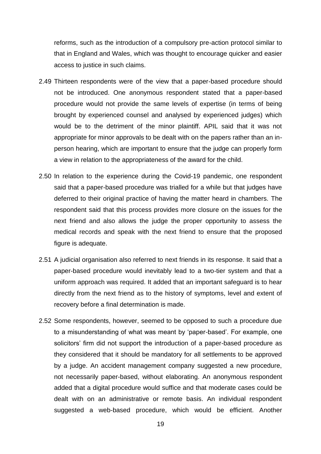reforms, such as the introduction of a compulsory pre-action protocol similar to that in England and Wales, which was thought to encourage quicker and easier access to justice in such claims.

- 2.49 Thirteen respondents were of the view that a paper-based procedure should not be introduced. One anonymous respondent stated that a paper-based procedure would not provide the same levels of expertise (in terms of being brought by experienced counsel and analysed by experienced judges) which would be to the detriment of the minor plaintiff. APIL said that it was not appropriate for minor approvals to be dealt with on the papers rather than an inperson hearing, which are important to ensure that the judge can properly form a view in relation to the appropriateness of the award for the child.
- 2.50 In relation to the experience during the Covid-19 pandemic, one respondent said that a paper-based procedure was trialled for a while but that judges have deferred to their original practice of having the matter heard in chambers. The respondent said that this process provides more closure on the issues for the next friend and also allows the judge the proper opportunity to assess the medical records and speak with the next friend to ensure that the proposed figure is adequate.
- 2.51 A judicial organisation also referred to next friends in its response. It said that a paper-based procedure would inevitably lead to a two-tier system and that a uniform approach was required. It added that an important safeguard is to hear directly from the next friend as to the history of symptoms, level and extent of recovery before a final determination is made.
- 2.52 Some respondents, however, seemed to be opposed to such a procedure due to a misunderstanding of what was meant by 'paper-based'. For example, one solicitors' firm did not support the introduction of a paper-based procedure as they considered that it should be mandatory for all settlements to be approved by a judge. An accident management company suggested a new procedure, not necessarily paper-based, without elaborating. An anonymous respondent added that a digital procedure would suffice and that moderate cases could be dealt with on an administrative or remote basis. An individual respondent suggested a web-based procedure, which would be efficient. Another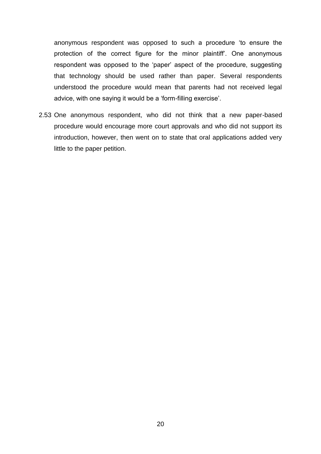anonymous respondent was opposed to such a procedure 'to ensure the protection of the correct figure for the minor plaintiff'. One anonymous respondent was opposed to the 'paper' aspect of the procedure, suggesting that technology should be used rather than paper. Several respondents understood the procedure would mean that parents had not received legal advice, with one saying it would be a 'form-filling exercise'.

2.53 One anonymous respondent, who did not think that a new paper-based procedure would encourage more court approvals and who did not support its introduction, however, then went on to state that oral applications added very little to the paper petition.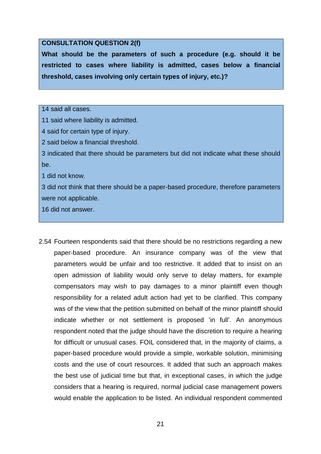#### **CONSULTATION QUESTION 2(f)**

**What should be the parameters of such a procedure (e.g. should it be restricted to cases where liability is admitted, cases below a financial threshold, cases involving only certain types of injury, etc.)?**

#### 14 said all cases.

11 said where liability is admitted.

4 said for certain type of injury.

2 said below a financial threshold.

3 indicated that there should be parameters but did not indicate what these should be.

1 did not know.

3 did not think that there should be a paper-based procedure, therefore parameters were not applicable.

16 did not answer.

2.54 Fourteen respondents said that there should be no restrictions regarding a new paper-based procedure. An insurance company was of the view that parameters would be unfair and too restrictive. It added that to insist on an open admission of liability would only serve to delay matters, for example compensators may wish to pay damages to a minor plaintiff even though responsibility for a related adult action had yet to be clarified. This company was of the view that the petition submitted on behalf of the minor plaintiff should indicate whether or not settlement is proposed 'in full'. An anonymous respondent noted that the judge should have the discretion to require a hearing for difficult or unusual cases. FOIL considered that, in the majority of claims, a paper-based procedure would provide a simple, workable solution, minimising costs and the use of court resources. It added that such an approach makes the best use of judicial time but that, in exceptional cases, in which the judge considers that a hearing is required, normal judicial case management powers would enable the application to be listed. An individual respondent commented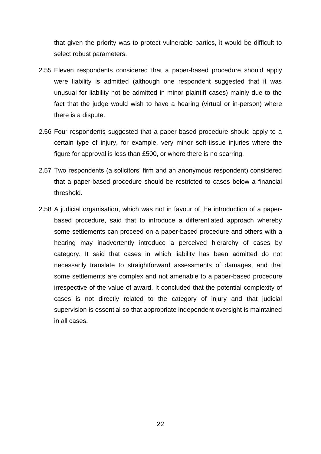that given the priority was to protect vulnerable parties, it would be difficult to select robust parameters.

- 2.55 Eleven respondents considered that a paper-based procedure should apply were liability is admitted (although one respondent suggested that it was unusual for liability not be admitted in minor plaintiff cases) mainly due to the fact that the judge would wish to have a hearing (virtual or in-person) where there is a dispute.
- 2.56 Four respondents suggested that a paper-based procedure should apply to a certain type of injury, for example, very minor soft-tissue injuries where the figure for approval is less than £500, or where there is no scarring.
- 2.57 Two respondents (a solicitors' firm and an anonymous respondent) considered that a paper-based procedure should be restricted to cases below a financial threshold.
- 2.58 A judicial organisation, which was not in favour of the introduction of a paperbased procedure, said that to introduce a differentiated approach whereby some settlements can proceed on a paper-based procedure and others with a hearing may inadvertently introduce a perceived hierarchy of cases by category. It said that cases in which liability has been admitted do not necessarily translate to straightforward assessments of damages, and that some settlements are complex and not amenable to a paper-based procedure irrespective of the value of award. It concluded that the potential complexity of cases is not directly related to the category of injury and that judicial supervision is essential so that appropriate independent oversight is maintained in all cases.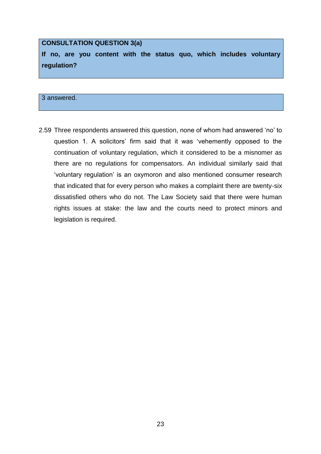#### **CONSULTATION QUESTION 3(a)**

**If no, are you content with the status quo, which includes voluntary regulation?**

#### 3 answered.

2.59 Three respondents answered this question, none of whom had answered 'no' to question 1. A solicitors' firm said that it was 'vehemently opposed to the continuation of voluntary regulation, which it considered to be a misnomer as there are no regulations for compensators. An individual similarly said that 'voluntary regulation' is an oxymoron and also mentioned consumer research that indicated that for every person who makes a complaint there are twenty-six dissatisfied others who do not. The Law Society said that there were human rights issues at stake: the law and the courts need to protect minors and legislation is required.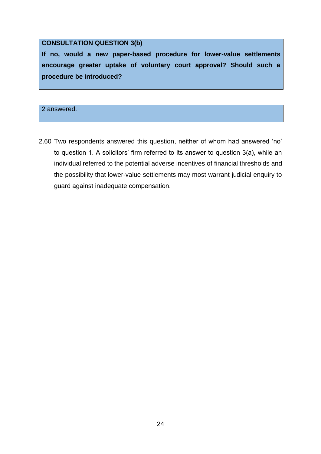#### **CONSULTATION QUESTION 3(b)**

**If no, would a new paper-based procedure for lower-value settlements encourage greater uptake of voluntary court approval? Should such a procedure be introduced?**

2 answered.

2.60 Two respondents answered this question, neither of whom had answered 'no' to question 1. A solicitors' firm referred to its answer to question 3(a), while an individual referred to the potential adverse incentives of financial thresholds and the possibility that lower-value settlements may most warrant judicial enquiry to guard against inadequate compensation.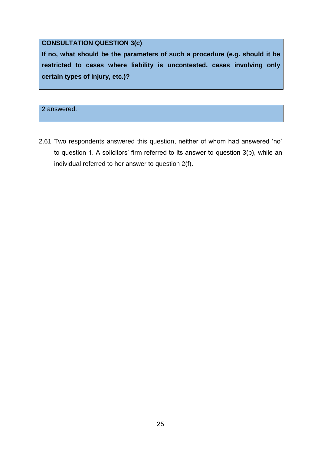### **CONSULTATION QUESTION 3(c)**

**If no, what should be the parameters of such a procedure (e.g. should it be restricted to cases where liability is uncontested, cases involving only certain types of injury, etc.)?**

2 answered.

2.61 Two respondents answered this question, neither of whom had answered 'no' to question 1. A solicitors' firm referred to its answer to question 3(b), while an individual referred to her answer to question 2(f).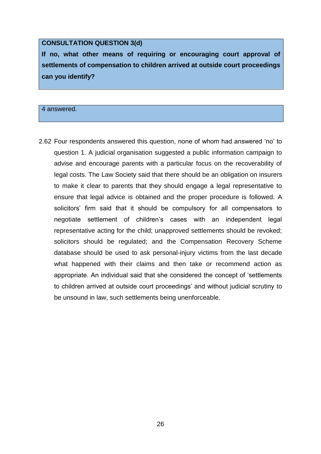#### **CONSULTATION QUESTION 3(d)**

**If no, what other means of requiring or encouraging court approval of settlements of compensation to children arrived at outside court proceedings can you identify?**

#### 4 answered.

2.62 Four respondents answered this question, none of whom had answered 'no' to question 1. A judicial organisation suggested a public information campaign to advise and encourage parents with a particular focus on the recoverability of legal costs. The Law Society said that there should be an obligation on insurers to make it clear to parents that they should engage a legal representative to ensure that legal advice is obtained and the proper procedure is followed. A solicitors' firm said that it should be compulsory for all compensators to negotiate settlement of children's cases with an independent legal representative acting for the child; unapproved settlements should be revoked; solicitors should be regulated; and the Compensation Recovery Scheme database should be used to ask personal-injury victims from the last decade what happened with their claims and then take or recommend action as appropriate. An individual said that she considered the concept of 'settlements to children arrived at outside court proceedings' and without judicial scrutiny to be unsound in law, such settlements being unenforceable.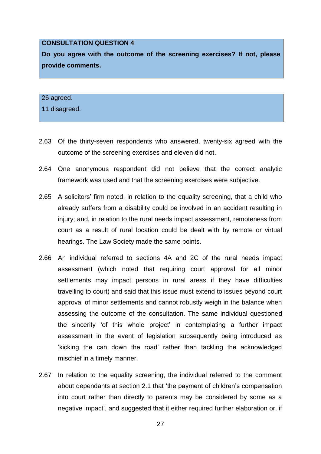#### **CONSULTATION QUESTION 4**

**Do you agree with the outcome of the screening exercises? If not, please provide comments.**

#### 26 agreed.

11 disagreed.

- 2.63 Of the thirty-seven respondents who answered, twenty-six agreed with the outcome of the screening exercises and eleven did not.
- 2.64 One anonymous respondent did not believe that the correct analytic framework was used and that the screening exercises were subjective.
- 2.65 A solicitors' firm noted, in relation to the equality screening, that a child who already suffers from a disability could be involved in an accident resulting in injury; and, in relation to the rural needs impact assessment, remoteness from court as a result of rural location could be dealt with by remote or virtual hearings. The Law Society made the same points.
- 2.66 An individual referred to sections 4A and 2C of the rural needs impact assessment (which noted that requiring court approval for all minor settlements may impact persons in rural areas if they have difficulties travelling to court) and said that this issue must extend to issues beyond court approval of minor settlements and cannot robustly weigh in the balance when assessing the outcome of the consultation. The same individual questioned the sincerity 'of this whole project' in contemplating a further impact assessment in the event of legislation subsequently being introduced as 'kicking the can down the road' rather than tackling the acknowledged mischief in a timely manner.
- 2.67 In relation to the equality screening, the individual referred to the comment about dependants at section 2.1 that 'the payment of children's compensation into court rather than directly to parents may be considered by some as a negative impact', and suggested that it either required further elaboration or, if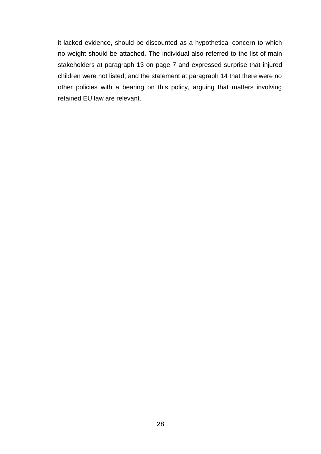it lacked evidence, should be discounted as a hypothetical concern to which no weight should be attached. The individual also referred to the list of main stakeholders at paragraph 13 on page 7 and expressed surprise that injured children were not listed; and the statement at paragraph 14 that there were no other policies with a bearing on this policy, arguing that matters involving retained EU law are relevant.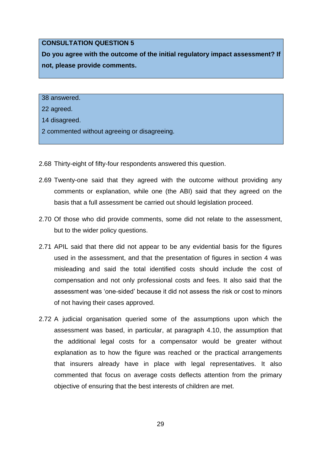#### **CONSULTATION QUESTION 5**

**Do you agree with the outcome of the initial regulatory impact assessment? If not, please provide comments.**

38 answered.

22 agreed.

14 disagreed.

2 commented without agreeing or disagreeing.

- 2.68 Thirty-eight of fifty-four respondents answered this question.
- 2.69 Twenty-one said that they agreed with the outcome without providing any comments or explanation, while one (the ABI) said that they agreed on the basis that a full assessment be carried out should legislation proceed.
- 2.70 Of those who did provide comments, some did not relate to the assessment, but to the wider policy questions.
- 2.71 APIL said that there did not appear to be any evidential basis for the figures used in the assessment, and that the presentation of figures in section 4 was misleading and said the total identified costs should include the cost of compensation and not only professional costs and fees. It also said that the assessment was 'one-sided' because it did not assess the risk or cost to minors of not having their cases approved.
- 2.72 A judicial organisation queried some of the assumptions upon which the assessment was based, in particular, at paragraph 4.10, the assumption that the additional legal costs for a compensator would be greater without explanation as to how the figure was reached or the practical arrangements that insurers already have in place with legal representatives. It also commented that focus on average costs deflects attention from the primary objective of ensuring that the best interests of children are met.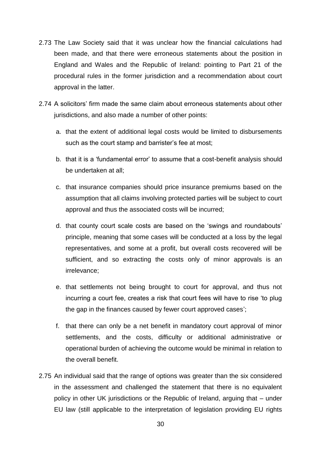- 2.73 The Law Society said that it was unclear how the financial calculations had been made, and that there were erroneous statements about the position in England and Wales and the Republic of Ireland: pointing to Part 21 of the procedural rules in the former jurisdiction and a recommendation about court approval in the latter.
- 2.74 A solicitors' firm made the same claim about erroneous statements about other jurisdictions, and also made a number of other points:
	- a. that the extent of additional legal costs would be limited to disbursements such as the court stamp and barrister's fee at most;
	- b. that it is a 'fundamental error' to assume that a cost-benefit analysis should be undertaken at all;
	- c. that insurance companies should price insurance premiums based on the assumption that all claims involving protected parties will be subject to court approval and thus the associated costs will be incurred;
	- d. that county court scale costs are based on the 'swings and roundabouts' principle, meaning that some cases will be conducted at a loss by the legal representatives, and some at a profit, but overall costs recovered will be sufficient, and so extracting the costs only of minor approvals is an irrelevance;
	- e. that settlements not being brought to court for approval, and thus not incurring a court fee, creates a risk that court fees will have to rise 'to plug the gap in the finances caused by fewer court approved cases';
	- f. that there can only be a net benefit in mandatory court approval of minor settlements, and the costs, difficulty or additional administrative or operational burden of achieving the outcome would be minimal in relation to the overall benefit.
- 2.75 An individual said that the range of options was greater than the six considered in the assessment and challenged the statement that there is no equivalent policy in other UK jurisdictions or the Republic of Ireland, arguing that – under EU law (still applicable to the interpretation of legislation providing EU rights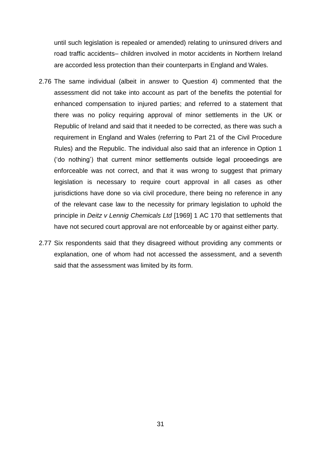until such legislation is repealed or amended) relating to uninsured drivers and road traffic accidents– children involved in motor accidents in Northern Ireland are accorded less protection than their counterparts in England and Wales.

- 2.76 The same individual (albeit in answer to Question 4) commented that the assessment did not take into account as part of the benefits the potential for enhanced compensation to injured parties; and referred to a statement that there was no policy requiring approval of minor settlements in the UK or Republic of Ireland and said that it needed to be corrected, as there was such a requirement in England and Wales (referring to Part 21 of the Civil Procedure Rules) and the Republic. The individual also said that an inference in Option 1 ('do nothing') that current minor settlements outside legal proceedings are enforceable was not correct, and that it was wrong to suggest that primary legislation is necessary to require court approval in all cases as other jurisdictions have done so via civil procedure, there being no reference in any of the relevant case law to the necessity for primary legislation to uphold the principle in *Deitz v Lennig Chemicals Ltd* [1969] 1 AC 170 that settlements that have not secured court approval are not enforceable by or against either party.
- 2.77 Six respondents said that they disagreed without providing any comments or explanation, one of whom had not accessed the assessment, and a seventh said that the assessment was limited by its form.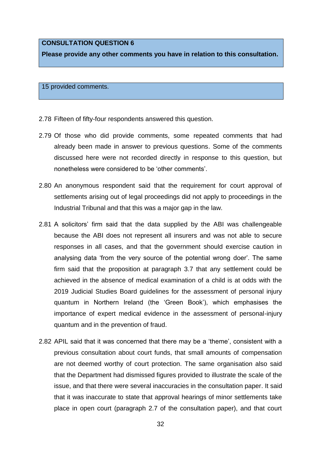#### **CONSULTATION QUESTION 6**

**Please provide any other comments you have in relation to this consultation.**

15 provided comments.

- 2.78 Fifteen of fifty-four respondents answered this question.
- 2.79 Of those who did provide comments, some repeated comments that had already been made in answer to previous questions. Some of the comments discussed here were not recorded directly in response to this question, but nonetheless were considered to be 'other comments'.
- 2.80 An anonymous respondent said that the requirement for court approval of settlements arising out of legal proceedings did not apply to proceedings in the Industrial Tribunal and that this was a major gap in the law.
- 2.81 A solicitors' firm said that the data supplied by the ABI was challengeable because the ABI does not represent all insurers and was not able to secure responses in all cases, and that the government should exercise caution in analysing data 'from the very source of the potential wrong doer'. The same firm said that the proposition at paragraph 3.7 that any settlement could be achieved in the absence of medical examination of a child is at odds with the 2019 Judicial Studies Board guidelines for the assessment of personal injury quantum in Northern Ireland (the 'Green Book'), which emphasises the importance of expert medical evidence in the assessment of personal-injury quantum and in the prevention of fraud.
- 2.82 APIL said that it was concerned that there may be a 'theme', consistent with a previous consultation about court funds, that small amounts of compensation are not deemed worthy of court protection. The same organisation also said that the Department had dismissed figures provided to illustrate the scale of the issue, and that there were several inaccuracies in the consultation paper. It said that it was inaccurate to state that approval hearings of minor settlements take place in open court (paragraph 2.7 of the consultation paper), and that court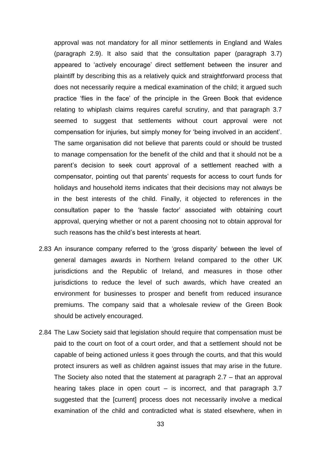approval was not mandatory for all minor settlements in England and Wales (paragraph 2.9). It also said that the consultation paper (paragraph 3.7) appeared to 'actively encourage' direct settlement between the insurer and plaintiff by describing this as a relatively quick and straightforward process that does not necessarily require a medical examination of the child; it argued such practice 'flies in the face' of the principle in the Green Book that evidence relating to whiplash claims requires careful scrutiny, and that paragraph 3.7 seemed to suggest that settlements without court approval were not compensation for injuries, but simply money for 'being involved in an accident'. The same organisation did not believe that parents could or should be trusted to manage compensation for the benefit of the child and that it should not be a parent's decision to seek court approval of a settlement reached with a compensator, pointing out that parents' requests for access to court funds for holidays and household items indicates that their decisions may not always be in the best interests of the child. Finally, it objected to references in the consultation paper to the 'hassle factor' associated with obtaining court approval, querying whether or not a parent choosing not to obtain approval for such reasons has the child's best interests at heart.

- 2.83 An insurance company referred to the 'gross disparity' between the level of general damages awards in Northern Ireland compared to the other UK jurisdictions and the Republic of Ireland, and measures in those other jurisdictions to reduce the level of such awards, which have created an environment for businesses to prosper and benefit from reduced insurance premiums. The company said that a wholesale review of the Green Book should be actively encouraged.
- 2.84 The Law Society said that legislation should require that compensation must be paid to the court on foot of a court order, and that a settlement should not be capable of being actioned unless it goes through the courts, and that this would protect insurers as well as children against issues that may arise in the future. The Society also noted that the statement at paragraph 2.7 – that an approval hearing takes place in open court  $-$  is incorrect, and that paragraph 3.7 suggested that the [current] process does not necessarily involve a medical examination of the child and contradicted what is stated elsewhere, when in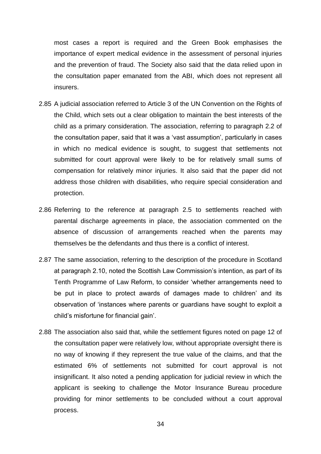most cases a report is required and the Green Book emphasises the importance of expert medical evidence in the assessment of personal injuries and the prevention of fraud. The Society also said that the data relied upon in the consultation paper emanated from the ABI, which does not represent all insurers.

- 2.85 A judicial association referred to Article 3 of the UN Convention on the Rights of the Child, which sets out a clear obligation to maintain the best interests of the child as a primary consideration. The association, referring to paragraph 2.2 of the consultation paper, said that it was a 'vast assumption', particularly in cases in which no medical evidence is sought, to suggest that settlements not submitted for court approval were likely to be for relatively small sums of compensation for relatively minor injuries. It also said that the paper did not address those children with disabilities, who require special consideration and protection.
- 2.86 Referring to the reference at paragraph 2.5 to settlements reached with parental discharge agreements in place, the association commented on the absence of discussion of arrangements reached when the parents may themselves be the defendants and thus there is a conflict of interest.
- 2.87 The same association, referring to the description of the procedure in Scotland at paragraph 2.10, noted the Scottish Law Commission's intention, as part of its Tenth Programme of Law Reform, to consider 'whether arrangements need to be put in place to protect awards of damages made to children' and its observation of 'instances where parents or guardians have sought to exploit a child's misfortune for financial gain'.
- 2.88 The association also said that, while the settlement figures noted on page 12 of the consultation paper were relatively low, without appropriate oversight there is no way of knowing if they represent the true value of the claims, and that the estimated 6% of settlements not submitted for court approval is not insignificant. It also noted a pending application for judicial review in which the applicant is seeking to challenge the Motor Insurance Bureau procedure providing for minor settlements to be concluded without a court approval process.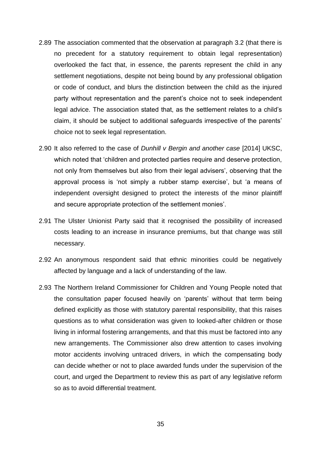- 2.89 The association commented that the observation at paragraph 3.2 (that there is no precedent for a statutory requirement to obtain legal representation) overlooked the fact that, in essence, the parents represent the child in any settlement negotiations, despite not being bound by any professional obligation or code of conduct, and blurs the distinction between the child as the injured party without representation and the parent's choice not to seek independent legal advice. The association stated that, as the settlement relates to a child's claim, it should be subject to additional safeguards irrespective of the parents' choice not to seek legal representation.
- 2.90 It also referred to the case of *Dunhill v Bergin and another case* [2014] UKSC, which noted that 'children and protected parties require and deserve protection, not only from themselves but also from their legal advisers', observing that the approval process is 'not simply a rubber stamp exercise', but 'a means of independent oversight designed to protect the interests of the minor plaintiff and secure appropriate protection of the settlement monies'.
- 2.91 The Ulster Unionist Party said that it recognised the possibility of increased costs leading to an increase in insurance premiums, but that change was still necessary.
- 2.92 An anonymous respondent said that ethnic minorities could be negatively affected by language and a lack of understanding of the law.
- 2.93 The Northern Ireland Commissioner for Children and Young People noted that the consultation paper focused heavily on 'parents' without that term being defined explicitly as those with statutory parental responsibility, that this raises questions as to what consideration was given to looked-after children or those living in informal fostering arrangements, and that this must be factored into any new arrangements. The Commissioner also drew attention to cases involving motor accidents involving untraced drivers, in which the compensating body can decide whether or not to place awarded funds under the supervision of the court, and urged the Department to review this as part of any legislative reform so as to avoid differential treatment.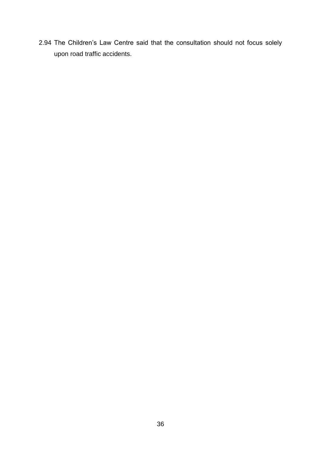2.94 The Children's Law Centre said that the consultation should not focus solely upon road traffic accidents.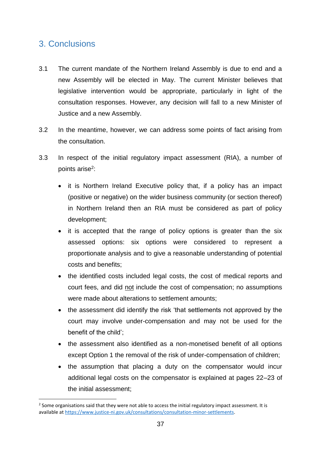## 3. Conclusions

 $\overline{\phantom{a}}$ 

- 3.1 The current mandate of the Northern Ireland Assembly is due to end and a new Assembly will be elected in May. The current Minister believes that legislative intervention would be appropriate, particularly in light of the consultation responses. However, any decision will fall to a new Minister of Justice and a new Assembly.
- 3.2 In the meantime, however, we can address some points of fact arising from the consultation.
- 3.3 In respect of the initial regulatory impact assessment (RIA), a number of points arise<sup>2</sup>:
	- it is Northern Ireland Executive policy that, if a policy has an impact (positive or negative) on the wider business community (or section thereof) in Northern Ireland then an RIA must be considered as part of policy development;
	- it is accepted that the range of policy options is greater than the six assessed options: six options were considered to represent a proportionate analysis and to give a reasonable understanding of potential costs and benefits;
	- the identified costs included legal costs, the cost of medical reports and court fees, and did not include the cost of compensation; no assumptions were made about alterations to settlement amounts;
	- the assessment did identify the risk 'that settlements not approved by the court may involve under-compensation and may not be used for the benefit of the child';
	- the assessment also identified as a non-monetised benefit of all options except Option 1 the removal of the risk of under-compensation of children;
	- the assumption that placing a duty on the compensator would incur additional legal costs on the compensator is explained at pages 22–23 of the initial assessment;

 $2$  Some organisations said that they were not able to access the initial regulatory impact assessment. It is available a[t https://www.justice-ni.gov.uk/consultations/consultation-minor-settlements.](https://www.justice-ni.gov.uk/consultations/consultation-minor-settlements)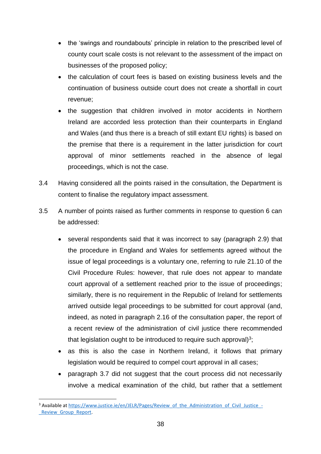- the 'swings and roundabouts' principle in relation to the prescribed level of county court scale costs is not relevant to the assessment of the impact on businesses of the proposed policy;
- the calculation of court fees is based on existing business levels and the continuation of business outside court does not create a shortfall in court revenue;
- the suggestion that children involved in motor accidents in Northern Ireland are accorded less protection than their counterparts in England and Wales (and thus there is a breach of still extant EU rights) is based on the premise that there is a requirement in the latter jurisdiction for court approval of minor settlements reached in the absence of legal proceedings, which is not the case.
- 3.4 Having considered all the points raised in the consultation, the Department is content to finalise the regulatory impact assessment.
- 3.5 A number of points raised as further comments in response to question 6 can be addressed:
	- several respondents said that it was incorrect to say (paragraph 2.9) that the procedure in England and Wales for settlements agreed without the issue of legal proceedings is a voluntary one, referring to rule 21.10 of the Civil Procedure Rules: however, that rule does not appear to mandate court approval of a settlement reached prior to the issue of proceedings; similarly, there is no requirement in the Republic of Ireland for settlements arrived outside legal proceedings to be submitted for court approval (and, indeed, as noted in paragraph 2.16 of the consultation paper, the report of a recent review of the administration of civil justice there recommended that legislation ought to be introduced to require such approval) $3$ ;
	- as this is also the case in Northern Ireland, it follows that primary legislation would be required to compel court approval in all cases;
	- paragraph 3.7 did not suggest that the court process did not necessarily involve a medical examination of the child, but rather that a settlement

 $\overline{\phantom{a}}$ <sup>3</sup> Available at [https://www.justice.ie/en/JELR/Pages/Review\\_of\\_the\\_Administration\\_of\\_Civil\\_Justice\\_-](https://www.justice.ie/en/JELR/Pages/Review_of_the_Administration_of_Civil_Justice_-_Review_Group_Report) Review Group Report.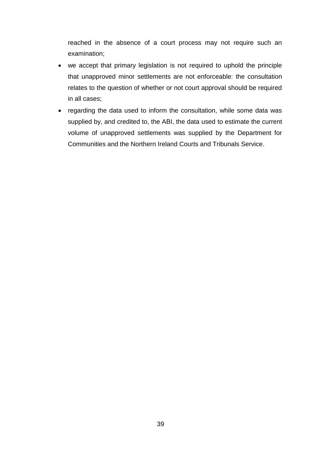reached in the absence of a court process may not require such an examination;

- we accept that primary legislation is not required to uphold the principle that unapproved minor settlements are not enforceable: the consultation relates to the question of whether or not court approval should be required in all cases;
- regarding the data used to inform the consultation, while some data was supplied by, and credited to, the ABI, the data used to estimate the current volume of unapproved settlements was supplied by the Department for Communities and the Northern Ireland Courts and Tribunals Service.